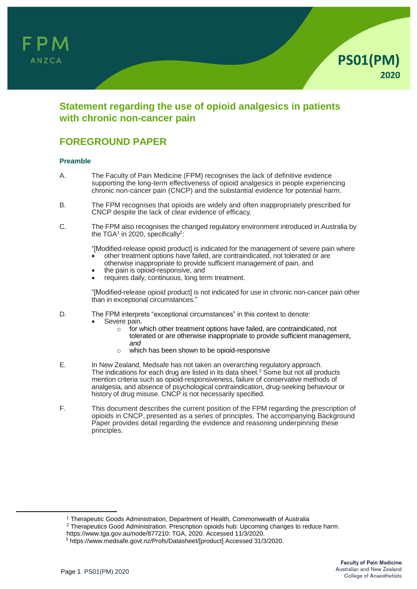



## **Statement regarding the use of opioid analgesics in patients with chronic non-cancer pain**

# **FOREGROUND PAPER**

### **Preamble**

- A. The Faculty of Pain Medicine (FPM) recognises the lack of definitive evidence supporting the long-term effectiveness of opioid analgesics in people experiencing chronic non-cancer pain (CNCP) and the substantial evidence for potential harm.
- B. The FPM recognises that opioids are widely and often inappropriately prescribed for CNCP despite the lack of clear evidence of efficacy.
- C. The FPM also recognises the changed regulatory environment introduced in Australia by the TGA $^{\rm 1}$  in 2020, specifically $^{\rm 2}$ :

"[Modified-release opioid product] is indicated for the management of severe pain where other treatment options have failed, are contraindicated, not tolerated or are

- otherwise inappropriate to provide sufficient management of pain, and
- the pain is opioid-responsive, and
- requires daily, continuous, long term treatment.

"[Modified-release opioid product] is not indicated for use in chronic non-cancer pain other than in exceptional circumstances."

- D. The FPM interprets "exceptional circumstances" in this context to denote:
	- Severe pain,
		- o for which other treatment options have failed, are contraindicated, not tolerated or are otherwise inappropriate to provide sufficient management, *and*
		- o which has been shown to be opioid-responsive
- E. In New Zealand, Medsafe has not taken an overarching regulatory approach. The indications for each drug are listed in its data sheet. $3$  Some but not all products mention criteria such as opioid-responsiveness, failure of conservative methods of analgesia, and absence of psychological contraindication, drug-seeking behaviour or history of drug misuse. CNCP is not necessarily specified.
- F. This document describes the current position of the FPM regarding the prescription of opioids in CNCP, presented as a series of principles. The accompanying Background Paper provides detail regarding the evidence and reasoning underpinning these principles.

 $\overline{a}$ 

<sup>&</sup>lt;sup>1</sup> Therapeutic Goods Administration, Department of Health, Commonwealth of Australia

<sup>&</sup>lt;sup>2</sup> Therapeutics Good Administration. Prescription opioids hub: Upcoming changes to reduce harm.

https://www.tga.gov.au/node/877210: TGA, 2020. Accessed 11/3/2020.

<sup>3</sup> https:[//www.medsafe.govt.nz/Profs/Datasheet/\[product\]](http://www.medsafe.govt.nz/Profs/Datasheet/%5bproduct) Accessed 31/3/2020.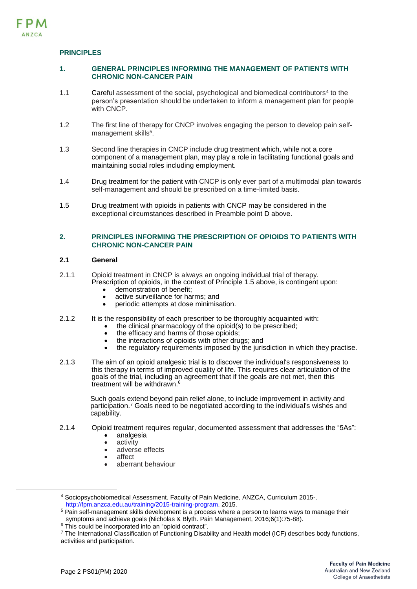## **PRINCIPLES**

### **1. GENERAL PRINCIPLES INFORMING THE MANAGEMENT OF PATIENTS WITH CHRONIC NON-CANCER PAIN**

- 1.1 Careful assessment of the social, psychological and biomedical contributors<sup>4</sup> to the person's presentation should be undertaken to inform a management plan for people with CNCP.
- 1.2 The first line of therapy for CNCP involves engaging the person to develop pain selfmanagement skills<sup>5</sup>.
- 1.3 Second line therapies in CNCP include drug treatment which, while not a core component of a management plan, may play a role in facilitating functional goals and maintaining social roles including employment.
- 1.4 Drug treatment for the patient with CNCP is only ever part of a multimodal plan towards self-management and should be prescribed on a time-limited basis.
- 1.5 Drug treatment with opioids in patients with CNCP may be considered in the exceptional circumstances described in Preamble point D above.

## **2. PRINCIPLES INFORMING THE PRESCRIPTION OF OPIOIDS TO PATIENTS WITH CHRONIC NON-CANCER PAIN**

### **2.1 General**

- 2.1.1 Opioid treatment in CNCP is always an ongoing individual trial of therapy. Prescription of opioids, in the context of Principle 1.5 above, is contingent upon:
	- demonstration of benefit;
	- active surveillance for harms; and<br>• periodic attempts at dose minimisation
	- periodic attempts at dose minimisation.
- 2.1.2 It is the responsibility of each prescriber to be thoroughly acquainted with:
	- the clinical pharmacology of the opioid(s) to be prescribed;
		- the efficacy and harms of those opioids;
		- the interactions of opioids with other drugs; and
		- the regulatory requirements imposed by the jurisdiction in which they practise.
- 2.1.3 The aim of an opioid analgesic trial is to discover the individual's responsiveness to this therapy in terms of improved quality of life. This requires clear articulation of the goals of the trial, including an agreement that if the goals are not met, then this treatment will be withdrawn. 6

Such goals extend beyond pain relief alone, to include improvement in activity and participation.<sup>7</sup> Goals need to be negotiated according to the individual's wishes and capability.

- 2.1.4 Opioid treatment requires regular, documented assessment that addresses the "5As":
	- analgesia
	- activity
	- adverse effects
	- affect
	- aberrant behaviour

<sup>4</sup> Sociopsychobiomedical Assessment. Faculty of Pain Medicine, ANZCA, Curriculum 2015-. [http://fpm.anzca.edu.au/training/2015-training-program.](http://fpm.anzca.edu.au/training/2015-training-program) 2015.

1

<sup>&</sup>lt;sup>5</sup> Pain self-management skills development is a process where a person to learns ways to manage their symptoms and achieve goals (Nicholas & Blyth. Pain Management, 2016;6(1):75-88).

<sup>&</sup>lt;sup>6</sup> This could be incorporated into an "opioid contract".

<sup>&</sup>lt;sup>7</sup> The International Classification of Functioning Disability and Health model (ICF) describes body functions, activities and participation.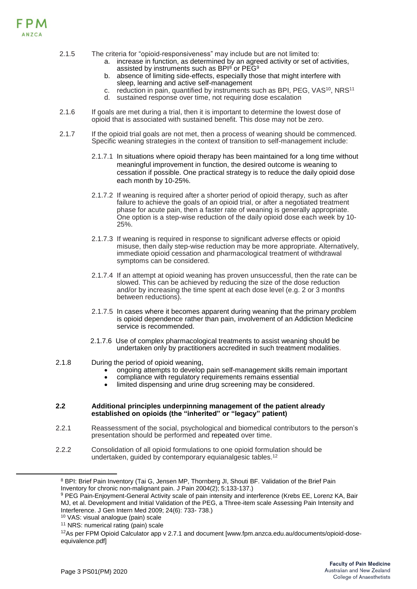

- 2.1.5 The criteria for "opioid-responsiveness" may include but are not limited to:
	- a. increase in function, as determined by an agreed activity or set of activities, assisted by instruments such as BPI<sup>8</sup> or PEG<sup>9</sup>
	- b. absence of limiting side-effects, especially those that might interfere with sleep, learning and active self-management
	- c. reduction in pain, quantified by instruments such as BPI, PEG, VAS<sup>10</sup>, NRS<sup>11</sup>
	- d. sustained response over time, not requiring dose escalation
- 2.1.6 If goals are met during a trial, then it is important to determine the lowest dose of opioid that is associated with sustained benefit. This dose may not be zero.
- 2.1.7 If the opioid trial goals are not met, then a process of weaning should be commenced. Specific weaning strategies in the context of transition to self-management include:
	- 2.1.7.1 In situations where opioid therapy has been maintained for a long time without meaningful improvement in function, the desired outcome is weaning to cessation if possible. One practical strategy is to reduce the daily opioid dose each month by 10-25%.
	- 2.1.7.2 If weaning is required after a shorter period of opioid therapy, such as after failure to achieve the goals of an opioid trial, or after a negotiated treatment phase for acute pain, then a faster rate of weaning is generally appropriate. One option is a step-wise reduction of the daily opioid dose each week by 10- 25%.
	- 2.1.7.3 If weaning is required in response to significant adverse effects or opioid misuse, then daily step-wise reduction may be more appropriate. Alternatively, immediate opioid cessation and pharmacological treatment of withdrawal symptoms can be considered.
	- 2.1.7.4 If an attempt at opioid weaning has proven unsuccessful, then the rate can be slowed. This can be achieved by reducing the size of the dose reduction and/or by increasing the time spent at each dose level (e.g. 2 or 3 months between reductions).
	- 2.1.7.5 In cases where it becomes apparent during weaning that the primary problem is opioid dependence rather than pain, involvement of an Addiction Medicine service is recommended.
	- 2.1.7.6 Use of complex pharmacological treatments to assist weaning should be undertaken only by practitioners accredited in such treatment modalities.
- 2.1.8 During the period of opioid weaning,
	- ongoing attempts to develop pain self-management skills remain important
	- compliance with regulatory requirements remains essential
	- limited dispensing and urine drug screening may be considered.

#### **2.2 Additional principles underpinning management of the patient already established on opioids (the "inherited" or "legacy" patient)**

- 2.2.1 Reassessment of the social, psychological and biomedical contributors to the person's presentation should be performed and repeated over time.
- 2.2.2 Consolidation of all opioid formulations to one opioid formulation should be undertaken, guided by contemporary equianalgesic tables.<sup>12</sup>

 $\overline{a}$ 

<sup>&</sup>lt;sup>8</sup> BPI: Brief Pain Inventory (Tai G, Jensen MP, Thornberg JI, Shouti BF. Validation of the Brief Pain Inventory for chronic non-malignant pain. J Pain 2004(2); 5:133-137.)

<sup>9</sup> PEG Pain-Enjoyment-General Activity scale of pain intensity and interference (Krebs EE, Lorenz KA, Bair MJ, et al. Development and Initial Validation of the PEG, a Three-item scale Assessing Pain Intensity and Interference. J Gen Intern Med 2009; 24(6): 733- 738.)

<sup>10</sup> VAS: visual analogue (pain) scale

<sup>&</sup>lt;sup>11</sup> NRS: numerical rating (pain) scale

 $12$ As per FPM Opioid Calculator app v 2.7.1 and document [www.fpm.anzca.edu.au/documents/opioid-doseequivalence.pdf]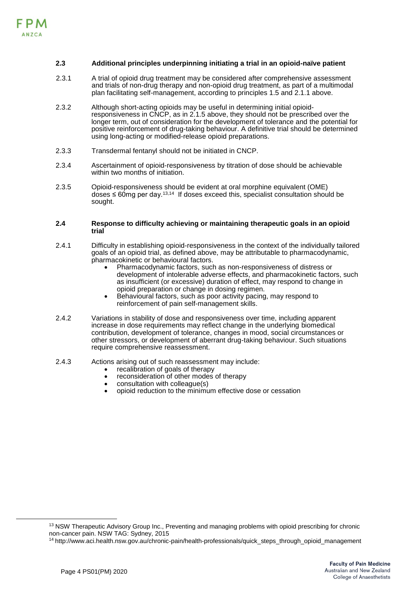#### **2.3 Additional principles underpinning initiating a trial in an opioid-naïve patient**

- 2.3.1 A trial of opioid drug treatment may be considered after comprehensive assessment and trials of non-drug therapy and non-opioid drug treatment, as part of a multimodal plan facilitating self-management, according to principles 1.5 and 2.1.1 above.
- 2.3.2 Although short-acting opioids may be useful in determining initial opioidresponsiveness in CNCP, as in 2.1.5 above, they should not be prescribed over the longer term, out of consideration for the development of tolerance and the potential for positive reinforcement of drug-taking behaviour. A definitive trial should be determined using long-acting or modified-release opioid preparations.
- 2.3.3 Transdermal fentanyl should not be initiated in CNCP.
- 2.3.4 Ascertainment of opioid-responsiveness by titration of dose should be achievable within two months of initiation.
- 2.3.5 Opioid-responsiveness should be evident at oral morphine equivalent (OME) doses ≤ 60mg per day.<sup>13,14</sup> If doses exceed this, specialist consultation should be sought.

#### **2.4 Response to difficulty achieving or maintaining therapeutic goals in an opioid trial**

- 2.4.1 Difficulty in establishing opioid-responsiveness in the context of the individually tailored goals of an opioid trial, as defined above, may be attributable to pharmacodynamic, pharmacokinetic or behavioural factors.
	- Pharmacodynamic factors, such as non-responsiveness of distress or development of intolerable adverse effects, and pharmacokinetic factors, such as insufficient (or excessive) duration of effect, may respond to change in opioid preparation or change in dosing regimen.
	- Behavioural factors, such as poor activity pacing, may respond to reinforcement of pain self-management skills.
- 2.4.2 Variations in stability of dose and responsiveness over time, including apparent increase in dose requirements may reflect change in the underlying biomedical contribution, development of tolerance, changes in mood, social circumstances or other stressors, or development of aberrant drug-taking behaviour. Such situations require comprehensive reassessment.
- 2.4.3 Actions arising out of such reassessment may include:
	- recalibration of goals of therapy
	- reconsideration of other modes of therapy
	- consultation with colleague(s)
	- opioid reduction to the minimum effective dose or cessation

 $\overline{a}$ 

<sup>&</sup>lt;sup>13</sup> NSW Therapeutic Advisory Group Inc., Preventing and managing problems with opioid prescribing for chronic non-cancer pain. NSW TAG: Sydney, 2015

<sup>14</sup> http://www.aci.health.nsw.gov.au/chronic-pain/health-professionals/quick\_steps\_through\_opioid\_management